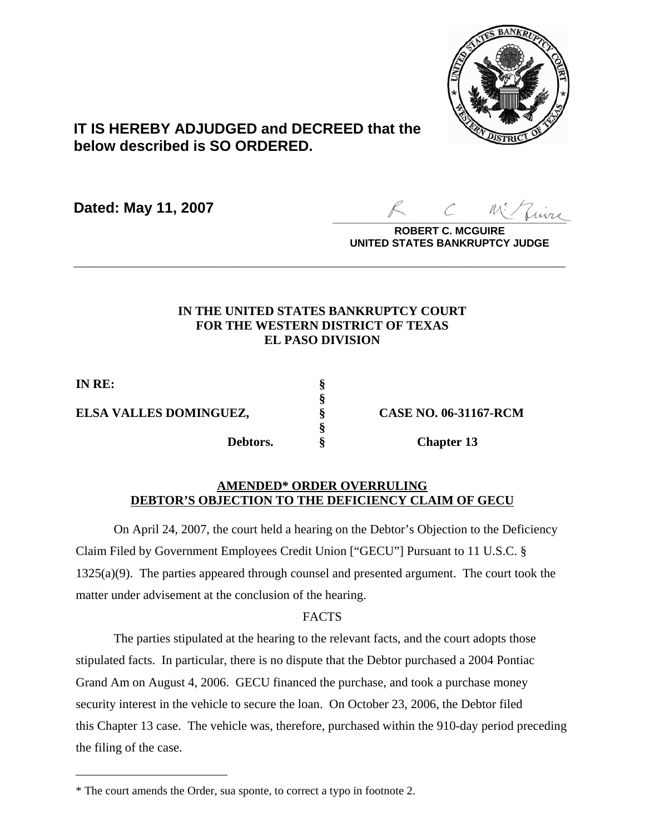

# **IT IS HEREBY ADJUDGED and DECREED that the below described is SO ORDERED.**

**Dated: May 11, 2007**

 $Z_{\mu\nu\sigma\sigma}$ 

**ROBERT C. MCGUIRE UNITED STATES BANKRUPTCY JUDGE**

## **IN THE UNITED STATES BANKRUPTCY COURT FOR THE WESTERN DISTRICT OF TEXAS EL PASO DIVISION**

**\_\_\_\_\_\_\_\_\_\_\_\_\_\_\_\_\_\_\_\_\_\_\_\_\_\_\_\_\_\_\_\_\_\_\_\_\_\_\_\_\_\_\_\_\_\_\_\_\_\_\_\_\_\_\_\_\_\_\_\_**

**§**

**§**

**IN RE: § ELSA VALLES DOMINGUEZ, § CASE NO. 06-31167-RCM**

 $\overline{a}$ 

**Debtors. § Chapter 13**

## **AMENDED\* ORDER OVERRULING DEBTOR'S OBJECTION TO THE DEFICIENCY CLAIM OF GECU**

On April 24, 2007, the court held a hearing on the Debtor's Objection to the Deficiency Claim Filed by Government Employees Credit Union ["GECU"] Pursuant to 11 U.S.C. § 1325(a)(9). The parties appeared through counsel and presented argument. The court took the matter under advisement at the conclusion of the hearing.

## **FACTS**

The parties stipulated at the hearing to the relevant facts, and the court adopts those stipulated facts. In particular, there is no dispute that the Debtor purchased a 2004 Pontiac Grand Am on August 4, 2006. GECU financed the purchase, and took a purchase money security interest in the vehicle to secure the loan. On October 23, 2006, the Debtor filed this Chapter 13 case. The vehicle was, therefore, purchased within the 910-day period preceding the filing of the case.

<sup>\*</sup> The court amends the Order, sua sponte, to correct a typo in footnote 2.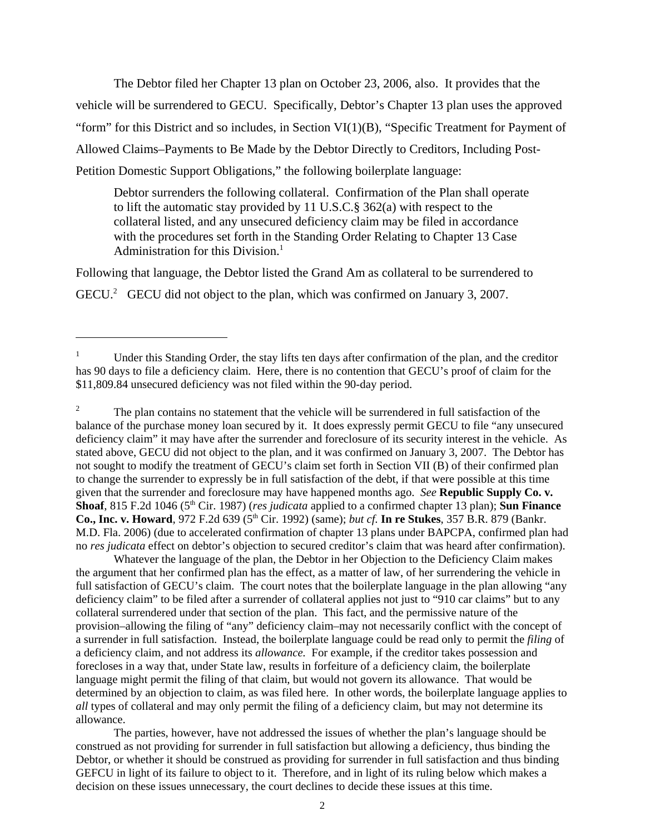The Debtor filed her Chapter 13 plan on October 23, 2006, also. It provides that the vehicle will be surrendered to GECU. Specifically, Debtor's Chapter 13 plan uses the approved "form" for this District and so includes, in Section VI(1)(B), "Specific Treatment for Payment of Allowed Claims–Payments to Be Made by the Debtor Directly to Creditors, Including Post-Petition Domestic Support Obligations," the following boilerplate language:

Debtor surrenders the following collateral. Confirmation of the Plan shall operate to lift the automatic stay provided by 11 U.S.C.§ 362(a) with respect to the collateral listed, and any unsecured deficiency claim may be filed in accordance with the procedures set forth in the Standing Order Relating to Chapter 13 Case Administration for this Division.<sup>1</sup>

Following that language, the Debtor listed the Grand Am as collateral to be surrendered to GECU.<sup>2</sup> GECU did not object to the plan, which was confirmed on January 3, 2007.

<sup>2</sup> The plan contains no statement that the vehicle will be surrendered in full satisfaction of the balance of the purchase money loan secured by it. It does expressly permit GECU to file "any unsecured deficiency claim" it may have after the surrender and foreclosure of its security interest in the vehicle. As stated above, GECU did not object to the plan, and it was confirmed on January 3, 2007. The Debtor has not sought to modify the treatment of GECU's claim set forth in Section VII (B) of their confirmed plan to change the surrender to expressly be in full satisfaction of the debt, if that were possible at this time given that the surrender and foreclosure may have happened months ago. *See* **Republic Supply Co. v. Shoaf**, 815 F.2d 1046 (5<sup>th</sup> Cir. 1987) (*res judicata* applied to a confirmed chapter 13 plan); **Sun Finance Co., Inc. v. Howard**, 972 F.2d 639 (5<sup>th</sup> Cir. 1992) (same); *but cf.* In re Stukes, 357 B.R. 879 (Bankr. M.D. Fla. 2006) (due to accelerated confirmation of chapter 13 plans under BAPCPA, confirmed plan had no *res judicata* effect on debtor's objection to secured creditor's claim that was heard after confirmation).

Whatever the language of the plan, the Debtor in her Objection to the Deficiency Claim makes the argument that her confirmed plan has the effect, as a matter of law, of her surrendering the vehicle in full satisfaction of GECU's claim. The court notes that the boilerplate language in the plan allowing "any deficiency claim" to be filed after a surrender of collateral applies not just to "910 car claims" but to any collateral surrendered under that section of the plan. This fact, and the permissive nature of the provision–allowing the filing of "any" deficiency claim–may not necessarily conflict with the concept of a surrender in full satisfaction. Instead, the boilerplate language could be read only to permit the *filing* of a deficiency claim, and not address its *allowance.* For example, if the creditor takes possession and forecloses in a way that, under State law, results in forfeiture of a deficiency claim, the boilerplate language might permit the filing of that claim, but would not govern its allowance. That would be determined by an objection to claim, as was filed here. In other words, the boilerplate language applies to *all* types of collateral and may only permit the filing of a deficiency claim, but may not determine its allowance.

The parties, however, have not addressed the issues of whether the plan's language should be construed as not providing for surrender in full satisfaction but allowing a deficiency, thus binding the Debtor, or whether it should be construed as providing for surrender in full satisfaction and thus binding GEFCU in light of its failure to object to it. Therefore, and in light of its ruling below which makes a decision on these issues unnecessary, the court declines to decide these issues at this time.

<sup>1</sup> Under this Standing Order, the stay lifts ten days after confirmation of the plan, and the creditor has 90 days to file a deficiency claim. Here, there is no contention that GECU's proof of claim for the \$11,809.84 unsecured deficiency was not filed within the 90-day period.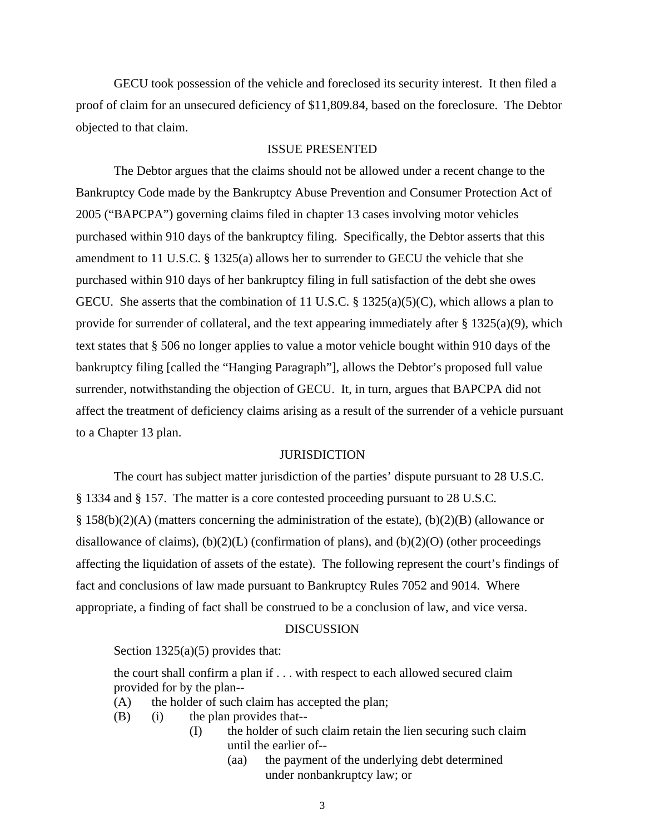GECU took possession of the vehicle and foreclosed its security interest. It then filed a proof of claim for an unsecured deficiency of \$11,809.84, based on the foreclosure. The Debtor objected to that claim.

#### ISSUE PRESENTED

The Debtor argues that the claims should not be allowed under a recent change to the Bankruptcy Code made by the Bankruptcy Abuse Prevention and Consumer Protection Act of 2005 ("BAPCPA") governing claims filed in chapter 13 cases involving motor vehicles purchased within 910 days of the bankruptcy filing. Specifically, the Debtor asserts that this amendment to 11 U.S.C. § 1325(a) allows her to surrender to GECU the vehicle that she purchased within 910 days of her bankruptcy filing in full satisfaction of the debt she owes GECU. She asserts that the combination of 11 U.S.C. § 1325(a)(5)(C), which allows a plan to provide for surrender of collateral, and the text appearing immediately after  $\S 1325(a)(9)$ , which text states that § 506 no longer applies to value a motor vehicle bought within 910 days of the bankruptcy filing [called the "Hanging Paragraph"], allows the Debtor's proposed full value surrender, notwithstanding the objection of GECU. It, in turn, argues that BAPCPA did not affect the treatment of deficiency claims arising as a result of the surrender of a vehicle pursuant to a Chapter 13 plan.

### **JURISDICTION**

The court has subject matter jurisdiction of the parties' dispute pursuant to 28 U.S.C. § 1334 and § 157. The matter is a core contested proceeding pursuant to 28 U.S.C. § 158(b)(2)(A) (matters concerning the administration of the estate), (b)(2)(B) (allowance or disallowance of claims),  $(b)(2)(L)$  (confirmation of plans), and  $(b)(2)(O)$  (other proceedings affecting the liquidation of assets of the estate). The following represent the court's findings of fact and conclusions of law made pursuant to Bankruptcy Rules 7052 and 9014. Where appropriate, a finding of fact shall be construed to be a conclusion of law, and vice versa.

#### **DISCUSSION**

#### Section 1325(a)(5) provides that:

the court shall confirm a plan if . . . with respect to each allowed secured claim provided for by the plan--

- (A) the holder of such claim has accepted the plan;
- (B) (i) the plan provides that--
	- (I) the holder of such claim retain the lien securing such claim until the earlier of--
		- (aa) the payment of the underlying debt determined under nonbankruptcy law; or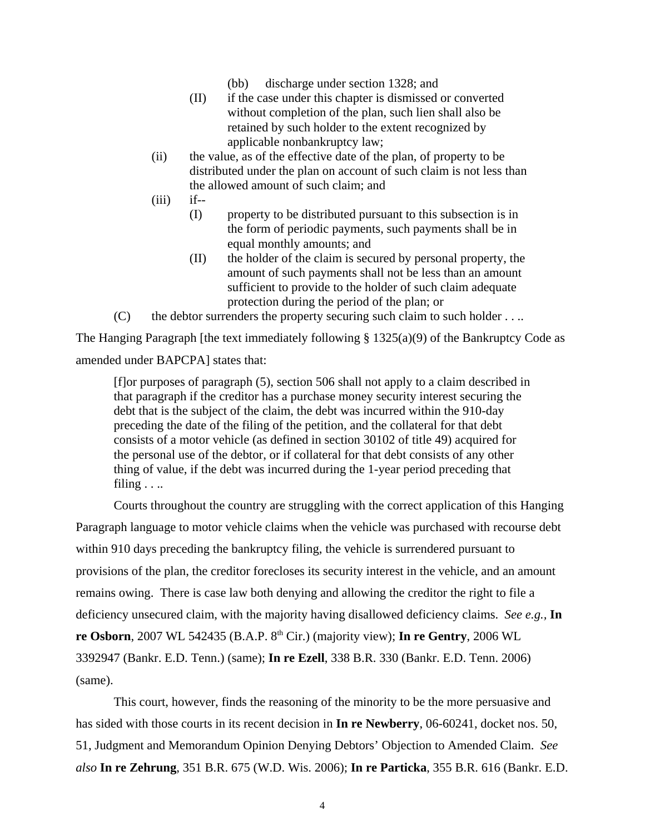- (bb) discharge under section 1328; and
- (II) if the case under this chapter is dismissed or converted without completion of the plan, such lien shall also be retained by such holder to the extent recognized by applicable nonbankruptcy law;
- (ii) the value, as of the effective date of the plan, of property to be distributed under the plan on account of such claim is not less than the allowed amount of such claim; and
- $(iii)$  if--
	- (I) property to be distributed pursuant to this subsection is in the form of periodic payments, such payments shall be in equal monthly amounts; and
	- (II) the holder of the claim is secured by personal property, the amount of such payments shall not be less than an amount sufficient to provide to the holder of such claim adequate protection during the period of the plan; or
- $(C)$  the debtor surrenders the property securing such claim to such holder . . ..

The Hanging Paragraph [the text immediately following  $\S 1325(a)(9)$  of the Bankruptcy Code as amended under BAPCPA] states that:

[f]or purposes of paragraph (5), section 506 shall not apply to a claim described in that paragraph if the creditor has a purchase money security interest securing the debt that is the subject of the claim, the debt was incurred within the 910-day preceding the date of the filing of the petition, and the collateral for that debt consists of a motor vehicle (as defined in section 30102 of title 49) acquired for the personal use of the debtor, or if collateral for that debt consists of any other thing of value, if the debt was incurred during the 1-year period preceding that filing  $\ldots$ 

Courts throughout the country are struggling with the correct application of this Hanging Paragraph language to motor vehicle claims when the vehicle was purchased with recourse debt within 910 days preceding the bankruptcy filing, the vehicle is surrendered pursuant to provisions of the plan, the creditor forecloses its security interest in the vehicle, and an amount remains owing. There is case law both denying and allowing the creditor the right to file a deficiency unsecured claim, with the majority having disallowed deficiency claims. *See e.g.,* **In re Osborn**, 2007 WL 542435 (B.A.P. 8th Cir.) (majority view); **In re Gentry**, 2006 WL 3392947 (Bankr. E.D. Tenn.) (same); **In re Ezell**, 338 B.R. 330 (Bankr. E.D. Tenn. 2006) (same).

This court, however, finds the reasoning of the minority to be the more persuasive and has sided with those courts in its recent decision in **In re Newberry**, 06-60241, docket nos. 50, 51, Judgment and Memorandum Opinion Denying Debtors' Objection to Amended Claim. *See also* **In re Zehrung**, 351 B.R. 675 (W.D. Wis. 2006); **In re Particka**, 355 B.R. 616 (Bankr. E.D.